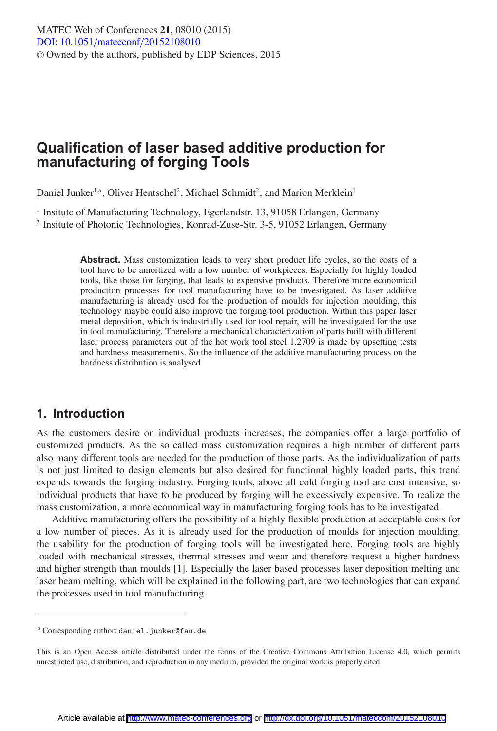# **Qualification of laser based additive production for manufacturing of forging Tools**

Daniel Junker<sup>1,a</sup>, Oliver Hentschel<sup>2</sup>, Michael Schmidt<sup>2</sup>, and Marion Merklein<sup>1</sup>

<sup>1</sup> Insitute of Manufacturing Technology, Egerlandstr. 13, 91058 Erlangen, Germany

<sup>2</sup> Insitute of Photonic Technologies, Konrad-Zuse-Str. 3-5, 91052 Erlangen, Germany

Abstract. Mass customization leads to very short product life cycles, so the costs of a tool have to be amortized with a low number of workpieces. Especially for highly loaded tools, like those for forging, that leads to expensive products. Therefore more economical production processes for tool manufacturing have to be investigated. As laser additive manufacturing is already used for the production of moulds for injection moulding, this technology maybe could also improve the forging tool production. Within this paper laser metal deposition, which is industrially used for tool repair, will be investigated for the use in tool manufacturing. Therefore a mechanical characterization of parts built with different laser process parameters out of the hot work tool steel 1.2709 is made by upsetting tests and hardness measurements. So the influence of the additive manufacturing process on the hardness distribution is analysed.

## **1. Introduction**

As the customers desire on individual products increases, the companies offer a large portfolio of customized products. As the so called mass customization requires a high number of different parts also many different tools are needed for the production of those parts. As the individualization of parts is not just limited to design elements but also desired for functional highly loaded parts, this trend expends towards the forging industry. Forging tools, above all cold forging tool are cost intensive, so individual products that have to be produced by forging will be excessively expensive. To realize the mass customization, a more economical way in manufacturing forging tools has to be investigated.

Additive manufacturing offers the possibility of a highly flexible production at acceptable costs for a low number of pieces. As it is already used for the production of moulds for injection moulding, the usability for the production of forging tools will be investigated here. Forging tools are highly loaded with mechanical stresses, thermal stresses and wear and therefore request a higher hardness and higher strength than moulds [\[1\]](#page-5-0). Especially the laser based processes laser deposition melting and laser beam melting, which will be explained in the following part, are two technologies that can expand the processes used in tool manufacturing.

<sup>a</sup> Corresponding author: daniel.junker@fau.de

This is an Open Access article distributed under the terms of the Creative Commons Attribution License 4.0, which permits unrestricted use, distribution, and reproduction in any medium, provided the original work is properly cited.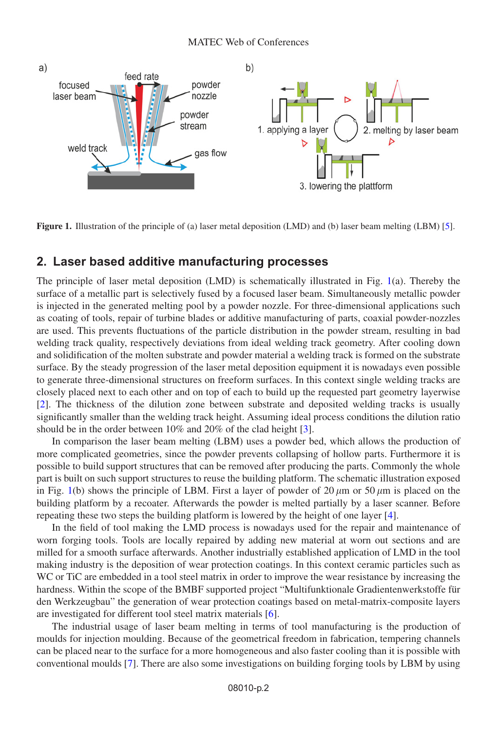<span id="page-1-0"></span>

**Figure 1.** Illustration of the principle of (a) laser metal deposition (LMD) and (b) laser beam melting (LBM) [\[5](#page-5-1)].

## **2. Laser based additive manufacturing processes**

The principle of laser metal deposition (LMD) is schematically illustrated in Fig. [1\(](#page-1-0)a). Thereby the surface of a metallic part is selectively fused by a focused laser beam. Simultaneously metallic powder is injected in the generated melting pool by a powder nozzle. For three-dimensional applications such as coating of tools, repair of turbine blades or additive manufacturing of parts, coaxial powder-nozzles are used. This prevents fluctuations of the particle distribution in the powder stream, resulting in bad welding track quality, respectively deviations from ideal welding track geometry. After cooling down and solidification of the molten substrate and powder material a welding track is formed on the substrate surface. By the steady progression of the laser metal deposition equipment it is nowadays even possible to generate three-dimensional structures on freeform surfaces. In this context single welding tracks are closely placed next to each other and on top of each to build up the requested part geometry layerwise [\[2\]](#page-5-2). The thickness of the dilution zone between substrate and deposited welding tracks is usually significantly smaller than the welding track height. Assuming ideal process conditions the dilution ratio should be in the order between 10% and 20% of the clad height [\[3](#page-5-3)].

In comparison the laser beam melting (LBM) uses a powder bed, which allows the production of more complicated geometries, since the powder prevents collapsing of hollow parts. Furthermore it is possible to build support structures that can be removed after producing the parts. Commonly the whole part is built on such support structures to reuse the building platform. The schematic illustration exposed in Fig. [1\(](#page-1-0)b) shows the principle of LBM. First a layer of powder of 20  $\mu$ m or 50  $\mu$ m is placed on the building platform by a recoater. Afterwards the powder is melted partially by a laser scanner. Before repeating these two steps the building platform is lowered by the height of one layer [\[4](#page-5-4)].

In the field of tool making the LMD process is nowadays used for the repair and maintenance of worn forging tools. Tools are locally repaired by adding new material at worn out sections and are milled for a smooth surface afterwards. Another industrially established application of LMD in the tool making industry is the deposition of wear protection coatings. In this context ceramic particles such as WC or TiC are embedded in a tool steel matrix in order to improve the wear resistance by increasing the hardness. Within the scope of the BMBF supported project "Multifunktionale Gradientenwerkstoffe für den Werkzeugbau" the generation of wear protection coatings based on metal-matrix-composite layers are investigated for different tool steel matrix materials [\[6](#page-6-0)].

The industrial usage of laser beam melting in terms of tool manufacturing is the production of moulds for injection moulding. Because of the geometrical freedom in fabrication, tempering channels can be placed near to the surface for a more homogeneous and also faster cooling than it is possible with conventional moulds [\[7\]](#page-6-1). There are also some investigations on building forging tools by LBM by using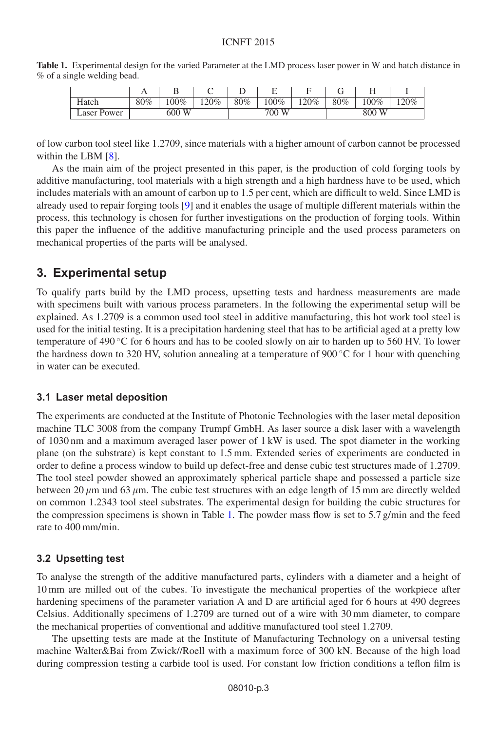<span id="page-2-0"></span>

| Table 1. Experimental design for the varied Parameter at the LMD process laser power in W and hatch distance in |  |  |
|-----------------------------------------------------------------------------------------------------------------|--|--|
| % of a single welding bead.                                                                                     |  |  |

|             | . . |        |      | ∸   |         |     |       |        |      |
|-------------|-----|--------|------|-----|---------|-----|-------|--------|------|
| Hatch       | 80% | $00\%$ | 120% | 80% | $100\%$ | 20% | 80%   | $00\%$ | 120% |
| ∟aser Power |     | 600 W  |      |     | 700 W   |     | 800 W |        |      |

of low carbon tool steel like 1.2709, since materials with a higher amount of carbon cannot be processed within the LBM [\[8\]](#page-6-2).

As the main aim of the project presented in this paper, is the production of cold forging tools by additive manufacturing, tool materials with a high strength and a high hardness have to be used, which includes materials with an amount of carbon up to 1.5 per cent, which are difficult to weld. Since LMD is already used to repair forging tools [\[9](#page-6-3)] and it enables the usage of multiple different materials within the process, this technology is chosen for further investigations on the production of forging tools. Within this paper the influence of the additive manufacturing principle and the used process parameters on mechanical properties of the parts will be analysed.

## **3. Experimental setup**

To qualify parts build by the LMD process, upsetting tests and hardness measurements are made with specimens built with various process parameters. In the following the experimental setup will be explained. As 1.2709 is a common used tool steel in additive manufacturing, this hot work tool steel is used for the initial testing. It is a precipitation hardening steel that has to be artificial aged at a pretty low temperature of 490 ◦C for 6 hours and has to be cooled slowly on air to harden up to 560 HV. To lower the hardness down to 320 HV, solution annealing at a temperature of 900  $\degree$ C for 1 hour with quenching in water can be executed.

## **3.1 Laser metal deposition**

The experiments are conducted at the Institute of Photonic Technologies with the laser metal deposition machine TLC 3008 from the company Trumpf GmbH. As laser source a disk laser with a wavelength of 1030 nm and a maximum averaged laser power of 1 kW is used. The spot diameter in the working plane (on the substrate) is kept constant to 1.5 mm. Extended series of experiments are conducted in order to define a process window to build up defect-free and dense cubic test structures made of 1.2709. The tool steel powder showed an approximately spherical particle shape and possessed a particle size between 20  $\mu$ m und 63  $\mu$ m. The cubic test structures with an edge length of 15 mm are directly welded on common 1.2343 tool steel substrates. The experimental design for building the cubic structures for the compression specimens is shown in Table [1.](#page-2-0) The powder mass flow is set to 5.7 g/min and the feed rate to 400 mm/min.

## **3.2 Upsetting test**

To analyse the strength of the additive manufactured parts, cylinders with a diameter and a height of 10 mm are milled out of the cubes. To investigate the mechanical properties of the workpiece after hardening specimens of the parameter variation A and D are artificial aged for 6 hours at 490 degrees Celsius. Additionally specimens of 1.2709 are turned out of a wire with 30 mm diameter, to compare the mechanical properties of conventional and additive manufactured tool steel 1.2709.

The upsetting tests are made at the Institute of Manufacturing Technology on a universal testing machine Walter&Bai from Zwick//Roell with a maximum force of 300 kN. Because of the high load during compression testing a carbide tool is used. For constant low friction conditions a teflon film is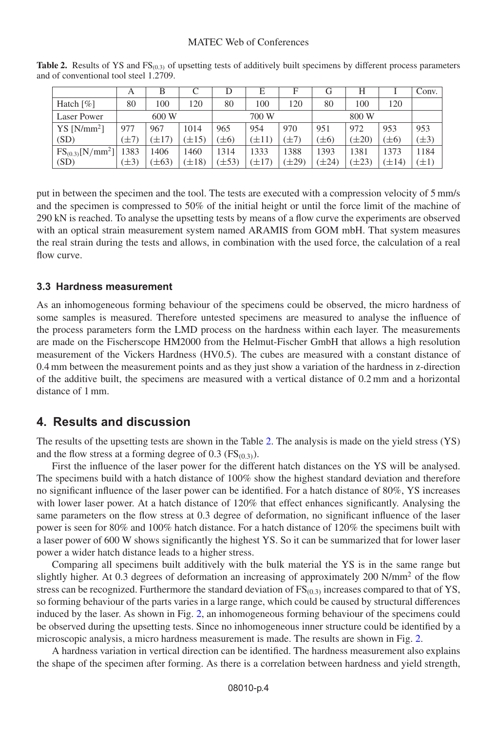#### MATEC Web of Conferences

|                                           | A        | В          |          |            | E        | F          | Ġ          | Н        |           | Conv.     |
|-------------------------------------------|----------|------------|----------|------------|----------|------------|------------|----------|-----------|-----------|
| Hatch $\lceil \% \rceil$                  | 80       | 100        | 120      | 80         | 100      | 120        | 80         | 100      | 120       |           |
| <b>Laser Power</b>                        |          | 600 W      |          |            | 700 W    |            |            | 800 W    |           |           |
| $YS$ [N/mm <sup>2</sup> ]                 | 977      | 967        | 1014     | 965        | 954      | 970        | 951        | 972      | 953       | 953       |
| (SD)                                      | 〔±7〕     | (±17)      | $\pm 15$ | $(\pm 6)$  | (±11)    | $(\pm 7)$  | $(\pm 6)$  | $\pm 20$ | $(\pm 6)$ | $(\pm 3)$ |
| $\sqrt{\text{FS}_{(0.3)}[\text{N/mm}^2]}$ | 1383     | 1406       | 1460     | 1314       | 1333     | 1388       | 1393       | 1381     | 1373      | 1184      |
| (SD)                                      | $\pm 3)$ | $(\pm 63)$ | $\pm 18$ | $(\pm 53)$ | $\pm 17$ | $(\pm 29)$ | $(\pm 24)$ | $\pm 23$ | (±14)     | (±1       |

<span id="page-3-0"></span>**Table 2.** Results of YS and  $FS_{(0,3)}$  of upsetting tests of additively built specimens by different process parameters and of conventional tool steel 1.2709.

put in between the specimen and the tool. The tests are executed with a compression velocity of 5 mm/s and the specimen is compressed to 50% of the initial height or until the force limit of the machine of 290 kN is reached. To analyse the upsetting tests by means of a flow curve the experiments are observed with an optical strain measurement system named ARAMIS from GOM mbH. That system measures the real strain during the tests and allows, in combination with the used force, the calculation of a real flow curve.

### **3.3 Hardness measurement**

As an inhomogeneous forming behaviour of the specimens could be observed, the micro hardness of some samples is measured. Therefore untested specimens are measured to analyse the influence of the process parameters form the LMD process on the hardness within each layer. The measurements are made on the Fischerscope HM2000 from the Helmut-Fischer GmbH that allows a high resolution measurement of the Vickers Hardness (HV0.5). The cubes are measured with a constant distance of 0.4 mm between the measurement points and as they just show a variation of the hardness in z-direction of the additive built, the specimens are measured with a vertical distance of 0.2 mm and a horizontal distance of 1 mm.

## **4. Results and discussion**

The results of the upsetting tests are shown in the Table [2.](#page-3-0) The analysis is made on the yield stress (YS) and the flow stress at a forming degree of  $0.3$  (FS<sub>(0.3)</sub>).

First the influence of the laser power for the different hatch distances on the YS will be analysed. The specimens build with a hatch distance of 100% show the highest standard deviation and therefore no significant influence of the laser power can be identified. For a hatch distance of 80%, YS increases with lower laser power. At a hatch distance of 120% that effect enhances significantly. Analysing the same parameters on the flow stress at 0.3 degree of deformation, no significant influence of the laser power is seen for 80% and 100% hatch distance. For a hatch distance of 120% the specimens built with a laser power of 600 W shows significantly the highest YS. So it can be summarized that for lower laser power a wider hatch distance leads to a higher stress.

Comparing all specimens built additively with the bulk material the YS is in the same range but slightly higher. At 0.3 degrees of deformation an increasing of approximately 200 N/mm2 of the flow stress can be recognized. Furthermore the standard deviation of  $FS_{(0,3)}$  increases compared to that of YS, so forming behaviour of the parts varies in a large range, which could be caused by structural differences induced by the laser. As shown in Fig. [2,](#page-4-0) an inhomogeneous forming behaviour of the specimens could be observed during the upsetting tests. Since no inhomogeneous inner structure could be identified by a microscopic analysis, a micro hardness measurement is made. The results are shown in Fig. [2.](#page-4-0)

A hardness variation in vertical direction can be identified. The hardness measurement also explains the shape of the specimen after forming. As there is a correlation between hardness and yield strength,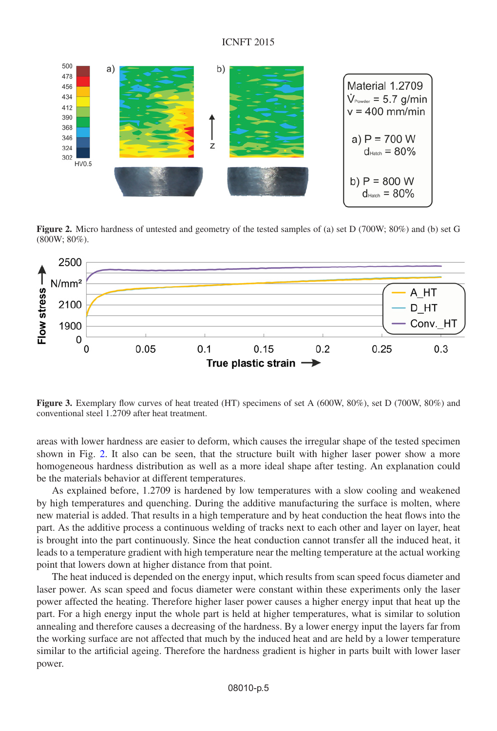<span id="page-4-0"></span>

**Figure 2.** Micro hardness of untested and geometry of the tested samples of (a) set D (700W; 80%) and (b) set G (800W; 80%).

<span id="page-4-1"></span>

**Figure 3.** Exemplary flow curves of heat treated (HT) specimens of set A (600W, 80%), set D (700W, 80%) and conventional steel 1.2709 after heat treatment.

areas with lower hardness are easier to deform, which causes the irregular shape of the tested specimen shown in Fig. [2.](#page-4-0) It also can be seen, that the structure built with higher laser power show a more homogeneous hardness distribution as well as a more ideal shape after testing. An explanation could be the materials behavior at different temperatures.

As explained before, 1.2709 is hardened by low temperatures with a slow cooling and weakened by high temperatures and quenching. During the additive manufacturing the surface is molten, where new material is added. That results in a high temperature and by heat conduction the heat flows into the part. As the additive process a continuous welding of tracks next to each other and layer on layer, heat is brought into the part continuously. Since the heat conduction cannot transfer all the induced heat, it leads to a temperature gradient with high temperature near the melting temperature at the actual working point that lowers down at higher distance from that point.

The heat induced is depended on the energy input, which results from scan speed focus diameter and laser power. As scan speed and focus diameter were constant within these experiments only the laser power affected the heating. Therefore higher laser power causes a higher energy input that heat up the part. For a high energy input the whole part is held at higher temperatures, what is similar to solution annealing and therefore causes a decreasing of the hardness. By a lower energy input the layers far from the working surface are not affected that much by the induced heat and are held by a lower temperature similar to the artificial ageing. Therefore the hardness gradient is higher in parts built with lower laser power.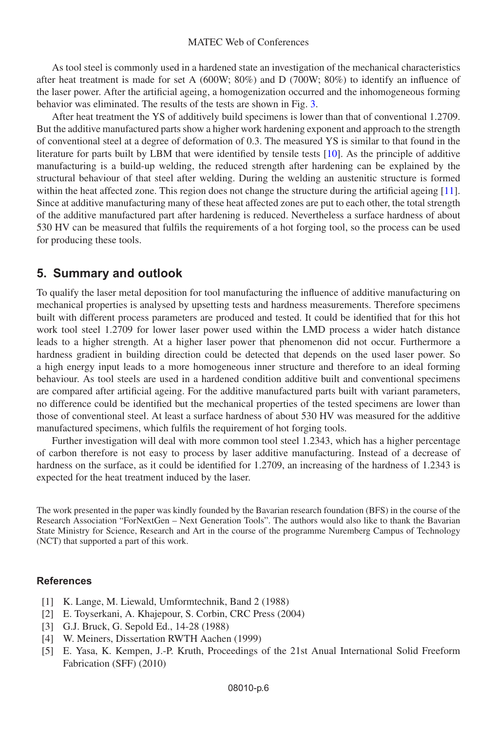As tool steel is commonly used in a hardened state an investigation of the mechanical characteristics after heat treatment is made for set A (600W; 80%) and D (700W; 80%) to identify an influence of the laser power. After the artificial ageing, a homogenization occurred and the inhomogeneous forming behavior was eliminated. The results of the tests are shown in Fig. [3.](#page-4-1)

After heat treatment the YS of additively build specimens is lower than that of conventional 1.2709. But the additive manufactured parts show a higher work hardening exponent and approach to the strength of conventional steel at a degree of deformation of 0.3. The measured YS is similar to that found in the literature for parts built by LBM that were identified by tensile tests [\[10](#page-6-4)]. As the principle of additive manufacturing is a build-up welding, the reduced strength after hardening can be explained by the structural behaviour of that steel after welding. During the welding an austenitic structure is formed within the heat affected zone. This region does not change the structure during the artificial ageing [\[11\]](#page-6-5). Since at additive manufacturing many of these heat affected zones are put to each other, the total strength of the additive manufactured part after hardening is reduced. Nevertheless a surface hardness of about 530 HV can be measured that fulfils the requirements of a hot forging tool, so the process can be used for producing these tools.

## **5. Summary and outlook**

To qualify the laser metal deposition for tool manufacturing the influence of additive manufacturing on mechanical properties is analysed by upsetting tests and hardness measurements. Therefore specimens built with different process parameters are produced and tested. It could be identified that for this hot work tool steel 1.2709 for lower laser power used within the LMD process a wider hatch distance leads to a higher strength. At a higher laser power that phenomenon did not occur. Furthermore a hardness gradient in building direction could be detected that depends on the used laser power. So a high energy input leads to a more homogeneous inner structure and therefore to an ideal forming behaviour. As tool steels are used in a hardened condition additive built and conventional specimens are compared after artificial ageing. For the additive manufactured parts built with variant parameters, no difference could be identified but the mechanical properties of the tested specimens are lower than those of conventional steel. At least a surface hardness of about 530 HV was measured for the additive manufactured specimens, which fulfils the requirement of hot forging tools.

Further investigation will deal with more common tool steel 1.2343, which has a higher percentage of carbon therefore is not easy to process by laser additive manufacturing. Instead of a decrease of hardness on the surface, as it could be identified for 1.2709, an increasing of the hardness of 1.2343 is expected for the heat treatment induced by the laser.

The work presented in the paper was kindly founded by the Bavarian research foundation (BFS) in the course of the Research Association "ForNextGen – Next Generation Tools". The authors would also like to thank the Bavarian State Ministry for Science, Research and Art in the course of the programme Nuremberg Campus of Technology (NCT) that supported a part of this work.

### <span id="page-5-0"></span>**References**

- [1] K. Lange, M. Liewald, Umformtechnik, Band 2 (1988)
- <span id="page-5-2"></span>[2] E. Toyserkani, A. Khajepour, S. Corbin, CRC Press (2004)
- <span id="page-5-3"></span>[3] G.J. Bruck, G. Sepold Ed., 14-28 (1988)
- <span id="page-5-4"></span>[4] W. Meiners, Dissertation RWTH Aachen (1999)
- <span id="page-5-1"></span>[5] E. Yasa, K. Kempen, J.-P. Kruth, Proceedings of the 21st Anual International Solid Freeform Fabrication (SFF) (2010)